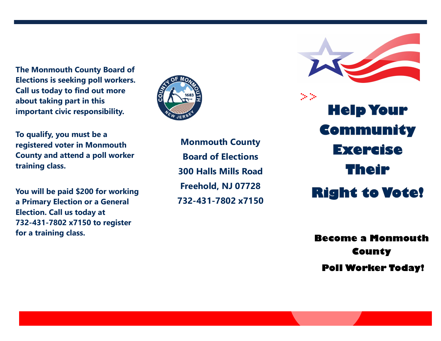**The Monmouth County Board of Elections is seeking poll workers. Call us today to find out more about taking part in this important civic responsibility.** 

**To qualify, you must be a registered voter in Monmouth County and attend a poll worker training class.**

**You will be paid \$200 for working a Primary Election or a General Election. Call us today at 732-431-7802 x7150 to register for a training class.**



**Monmouth County Board of Elections 300 Halls Mills Road Freehold, NJ 07728 732-431-7802 x7150**



 $\mathbb{R}^2$ **Help Your Community Exercise Their Right to Vote!** 

> **Become a Monmouth County Poll Worker Today!**